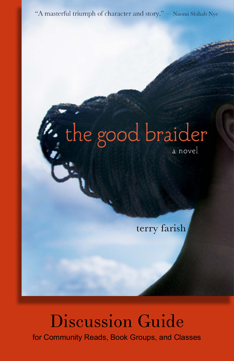"A masterful triumph of character and story." - Naomi Shihab Nye

# t. the good braider

a novel

terry farish

# Discussion Guide for Community Reads, Book Groups, and Classes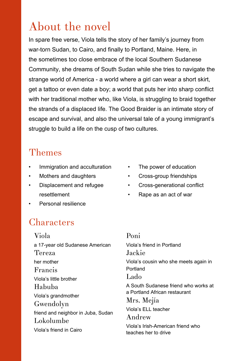# About the novel

In spare free verse, Viola tells the story of her family's journey from war-torn Sudan, to Cairo, and finally to Portland, Maine. Here, in the sometimes too close embrace of the local Southern Sudanese Community, she dreams of South Sudan while she tries to navigate the strange world of America - a world where a girl can wear a short skirt, get a tattoo or even date a boy; a world that puts her into sharp conflict with her traditional mother who, like Viola, is struggling to braid together the strands of a displaced life. The Good Braider is an intimate story of escape and survival, and also the universal tale of a young immigrant's struggle to build a life on the cusp of two cultures.

## Themes

- Immigration and acculturation
- Mothers and daughters
- • Displacement and refugee resettlement
- The power of education
- • Cross-group friendships
- • Cross-generational conflict
- • Rape as an act of war

Personal resilience

## **Characters**

Viola a 17-year old Sudanese American Tereza her mother Francis Viola's little brother Habuba Viola's grandmother Gwendolyn friend and neighbor in Juba, Sudan Lokolumbe Viola's friend in Cairo

#### Poni Viola's friend in Portland Jackie Viola's cousin who she meets again in Portland Lado A South Sudanese friend who works at a Portland African restaurant Mrs. Mejía Viola's ELL teacher Andrew Viola's Irish-American friend who teaches her to drive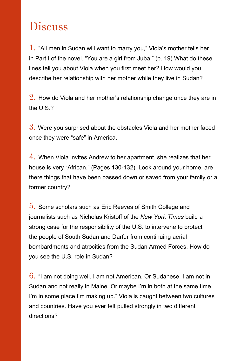# **Discuss**

1. "All men in Sudan will want to marry you," Viola's mother tells her in Part I of the novel. "You are a girl from Juba." (p. 19) What do these lines tell you about Viola when you first meet her? How would you describe her relationship with her mother while they live in Sudan?

 $2.$  How do Viola and her mother's relationship change once they are in the U.S.?

 $3.$  Were you surprised about the obstacles Viola and her mother faced once they were "safe" in America.

 $\overline{4}$ . When Viola invites Andrew to her apartment, she realizes that her house is very "African." (Pages 130-132). Look around your home, are there things that have been passed down or saved from your family or a former country?

5. Some scholars such as Eric Reeves of Smith College and journalists such as Nicholas Kristoff of the *New York Times* build a strong case for the responsibility of the U.S. to intervene to protect the people of South Sudan and Darfur from continuing aerial bombardments and atrocities from the Sudan Armed Forces. How do you see the U.S. role in Sudan?

 $6.$  "I am not doing well. I am not American. Or Sudanese. I am not in Sudan and not really in Maine. Or maybe I'm in both at the same time. I'm in some place I'm making up." Viola is caught between two cultures and countries. Have you ever felt pulled strongly in two different directions?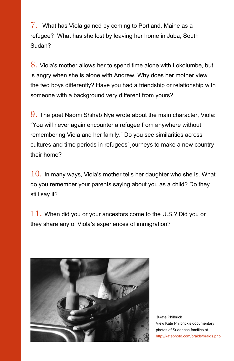$\%$ . What has Viola gained by coming to Portland, Maine as a refugee? What has she lost by leaving her home in Juba, South Sudan?

8. Viola's mother allows her to spend time alone with Lokolumbe, but is angry when she is alone with Andrew. Why does her mother view the two boys differently? Have you had a friendship or relationship with someone with a background very different from yours?

9. The poet Naomi Shihab Nye wrote about the main character, Viola: "You will never again encounter a refugee from anywhere without remembering Viola and her family." Do you see similarities across cultures and time periods in refugees' journeys to make a new country their home?

 $10.$  In many ways, Viola's mother tells her daughter who she is. What do you remember your parents saying about you as a child? Do they still say it?

 $11.$  When did you or your ancestors come to the U.S.? Did you or they share any of Viola's experiences of immigration?



©Kate Philbrick View Kate Philbrick's documentary photos of Sudanese families at <http://katephoto.com/braids/braids.php>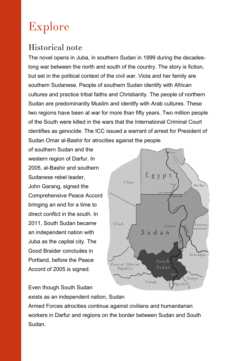# Explore

## Historical note

The novel opens in Juba, in southern Sudan in 1999 during the decadeslong war between the north and south of the country. The story is fiction, but set in the political context of the civil war. Viola and her family are southern Sudanese. People of southern Sudan identify with African cultures and practice tribal faiths and Christianity. The people of northern Sudan are predominantly Muslim and identify with Arab cultures. These two regions have been at war for more than fifty years. Two million people of the South were killed in the wars that the International Criminal Court identifies as genocide. The ICC issued a warrant of arrest for President of Sudan Omar al-Bashir for atrocities against the people

of southern Sudan and the western region of Darfur. In 2005, al-Bashir and southern Sudanese rebel leader, John Garang, signed the Comprehensive Peace Accord bringing an end for a time to direct conflict in the south. In 2011, South Sudan became an independent nation with Juba as the capital city. The Good Braider concludes in Portland, before the Peace Accord of 2005 is signed.



Even though South Sudan

exists as an independent nation, Sudan

Armed Forces atrocities continue against civilians and humanitarian workers in Darfur and regions on the border between Sudan and South Sudan.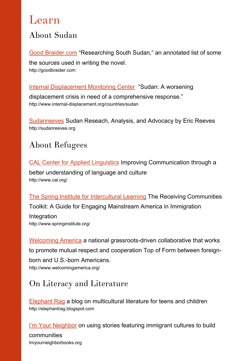## Learn

## About Sudan

[Good Braider.com](http://goodbraider.com/researching-) "Researching South Sudan," an annotated list of some the sources used in writing the novel. http://goodbraider.com

[Internal Displacement Monitoring Center](http://www.internal-displacement.org/countries/sudan
) "Sudan: A worsening displacement crisis in need of a comprehensive response." http://www.internal-displacement.org/countries/sudan

[Sudanreeves](http://www.sudanreeves.org) Sudan Reseach, Analysis, and Advocacy by Eric Reeves http://sudanreeves.org

## About Refugees

[CAL Center for Applied Linguistics](http://www.cal.org/) Improving Communication through a better understanding of language and culture http://www.cal.org/

[The Spring Institute for Intercultural Learning](http://www.springinstitute.org) The Receiving Communities Toolkit: A Guide for Engaging Mainstream America in Immigration Integration<br>http://www.springinstitute.org/

[Welcoming America](http://www.welcomingamerica.org/) a national grassroots-driven collaborative that works to promote mutual respect and cooperation Top of Form between foreignborn and U.S.-born Americans.<br>http://www.welcomingamerica.org/

## On Literacy and Literature

[Elephant Rag](http://www.elephantrag.blogspot.com) a blog on multicultural literature for teens and children http://elephantrag.blogspot.com

[I'm Your Neighbor](http://imyourneighborbooks.curiouscitydpw.com/category/im-your-neighbor-news/) on using stories featuring immigrant cultures to build communities Imyourneighborbooks.org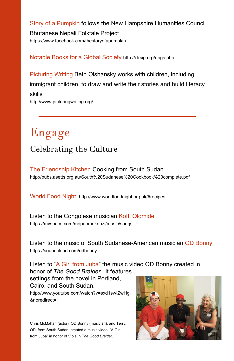[Story of a Pumpkin](https://www.facebook.com/thestoryofapumpkin) follows the New Hampshire Humanities Council

Bhutanese Nepali Folktale Project https://www.facebook.com/thestoryofapumpkin

[Notable Books for a Global Society](http://clrsig.org/nbgs.php) http://clrsig.org/nbgs.php

[Picturing Writing](http://www.picturingwriting.org) Beth Olshansky works with children, including immigrant children, to draw and write their stories and build literacy skills http://www.picturingwriting.org/

# Celebrating the Culture Engage

The Friendship Kitchen Cooking from South Sudan<br>http://pubs.asetts.org.au/South%20Sudanese%20Cookbook%20complete.pdf

[World Food Night](http://www.worldfoodnight.org.uk/#recipes) http://www.worldfoodnight.org.uk/#recipes

Listen to the Congolese musician **Koffi Olomide**<br>https://myspace.com/mopaomokonzi/music/songs

Listen to the music of South Sudanese-American musician [OD Bonny](https://soundcloud.com/odbonny) https://soundcloud.com/odbonny

Listen to "[A Girl from Juba](http://www.youtube.com/watch?v=sxd1swIZwHg&noredirect=1)" the music video OD Bonny created in honor of *The Good Braider*. It features

settings from the novel in Portland, Cairo, and South Sudan. http://www.youtube.com/watch?v=sxd1swIZwHg &noredirect=1

Chris McMahan (actor), OD Bonny (musician), and Terry. OD, from South Sudan, created a music video, "A Girl from Juba" in honor of Viola in *The Good Braider*.

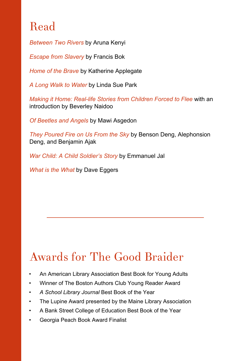# Read

*Between Two Rivers* by Aruna Kenyi

*Escape from Slavery* by Francis Bok

*Home of the Brave* by Katherine Applegate

*A Long Walk to Water* by Linda Sue Park

*Making it Home: Real-life Stories from Children Forced to Flee* with an introduction by Beverley Naidoo

*Of Beetles and Angels* by Mawi Asgedon

*They Poured Fire on Us From the Sky* by Benson Deng, Alephonsion Deng, and Benjamin Ajak

*War Child: A Child Soldier's Story* by Emmanuel Jal

*What is the What* by Dave Eggers

# Awards for The Good Braider

- An American Library Association Best Book for Young Adults
- Winner of The Boston Authors Club Young Reader Award
- *• A School Library Journal* Best Book of the Year
- The Lupine Award presented by the Maine Library Association
- A Bank Street College of Education Best Book of the Year
- Georgia Peach Book Award Finalist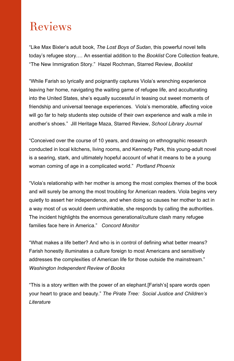# Reviews

"Like Max Bixler's adult book, *The Lost Boys of Sudan*, this powerful novel tells today's refugee story.… An essential addition to the *Booklist* Core Collection feature, "The New Immigration Story." Hazel Rochman, Starred Review, *Booklist*

"While Farish so lyrically and poignantly captures Viola's wrenching experience leaving her home, navigating the waiting game of refugee life, and acculturating into the United States, she's equally successful in teasing out sweet moments of friendship and universal teenage experiences. Viola's memorable, affecting voice will go far to help students step outside of their own experience and walk a mile in another's shoes." Jill Heritage Maza, Starred Review, *School Library Journal*

"Conceived over the course of 10 years, and drawing on ethnographic research conducted in local kitchens, living rooms, and Kennedy Park, this young-adult novel is a searing, stark, and ultimately hopeful account of what it means to be a young woman coming of age in a complicated world." *Portland Phoenix*

"Viola's relationship with her mother is among the most complex themes of the book and will surely be among the most troubling for American readers. Viola begins very quietly to assert her independence, and when doing so causes her mother to act in a way most of us would deem unthinkable, she responds by calling the authorities. The incident highlights the enormous generational/culture clash many refugee families face here in America." *Concord Monitor*

"What makes a life better? And who is in control of defining what better means? Farish honestly illuminates a culture foreign to most Americans and sensitively addresses the complexities of American life for those outside the mainstream." *Washington Independent Review of Books*

"This is a story written with the power of an elephant.[Farish's] spare words open your heart to grace and beauty." *The Pirate Tree: Social Justice and Children's Literature*